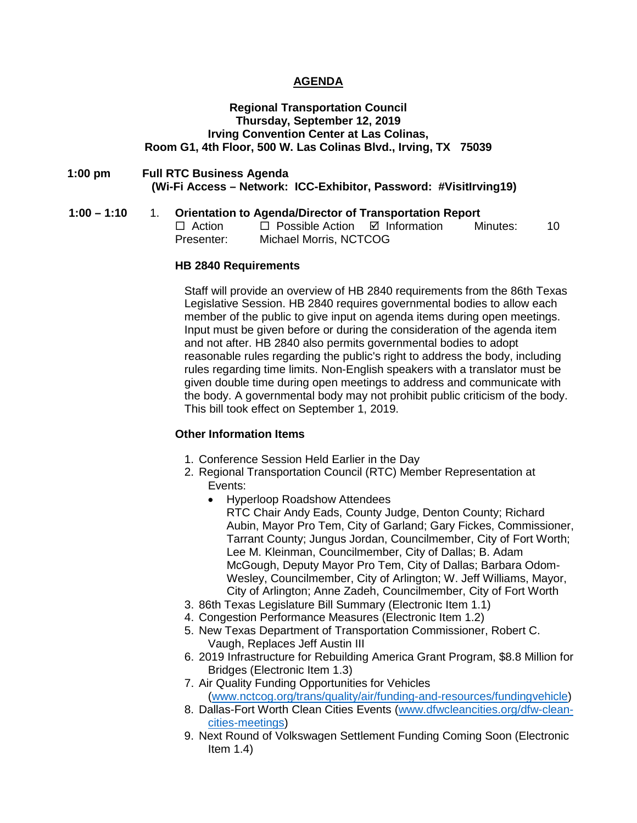### **AGENDA**

#### **Regional Transportation Council Thursday, September 12, 2019 Irving Convention Center at Las Colinas, Room G1, 4th Floor, 500 W. Las Colinas Blvd., Irving, TX 75039**

### **1:00 pm Full RTC Business Agenda (Wi-Fi Access – Network: ICC-Exhibitor, Password: #VisitIrving19)**

## **1:00 – 1:10** 1. **Orientation to Agenda/Director of Transportation Report**

| $\Box$ Action | $\Box$ Possible Action | ⊠ Information | Minutes: | 10 |
|---------------|------------------------|---------------|----------|----|
| Presenter:    | Michael Morris, NCTCOG |               |          |    |

#### **HB 2840 Requirements**

Staff will provide an overview of HB 2840 requirements from the 86th Texas Legislative Session. HB 2840 requires governmental bodies to allow each member of the public to give input on agenda items during open meetings. Input must be given before or during the consideration of the agenda item and not after. HB 2840 also permits governmental bodies to adopt reasonable rules regarding the public's right to address the body, including rules regarding time limits. Non-English speakers with a translator must be given double time during open meetings to address and communicate with the body. A governmental body may not prohibit public criticism of the body. This bill took effect on September 1, 2019.

### **Other Information Items**

- 1. Conference Session Held Earlier in the Day
- 2. Regional Transportation Council (RTC) Member Representation at Events:
	- Hyperloop Roadshow Attendees RTC Chair Andy Eads, County Judge, Denton County; Richard Aubin, Mayor Pro Tem, City of Garland; Gary Fickes, Commissioner, Tarrant County; Jungus Jordan, Councilmember, City of Fort Worth; Lee M. Kleinman, Councilmember, City of Dallas; B. Adam McGough, Deputy Mayor Pro Tem, City of Dallas; Barbara Odom-Wesley, Councilmember, City of Arlington; W. Jeff Williams, Mayor, City of Arlington; Anne Zadeh, Councilmember, City of Fort Worth
- 3. 86th Texas Legislature Bill Summary (Electronic Item 1.1)
- 4. Congestion Performance Measures (Electronic Item 1.2)
- 5. New Texas Department of Transportation Commissioner, Robert C. Vaugh, Replaces Jeff Austin III
- 6. 2019 Infrastructure for Rebuilding America Grant Program, \$8.8 Million for Bridges (Electronic Item 1.3)
- 7. Air Quality Funding Opportunities for Vehicles [\(www.nctcog.org/trans/quality/air/funding-and-resources/fundingvehicle\)](http://www.nctcog.org/trans/quality/air/funding-and-resources/fundingvehicle)
- 8. Dallas-Fort Worth Clean Cities Events [\(www.dfwcleancities.org/dfw-clean](http://www.dfwcleancities.org/dfw-clean-cities-meetings)[cities-meetings\)](http://www.dfwcleancities.org/dfw-clean-cities-meetings)
- 9. Next Round of Volkswagen Settlement Funding Coming Soon (Electronic Item 1.4)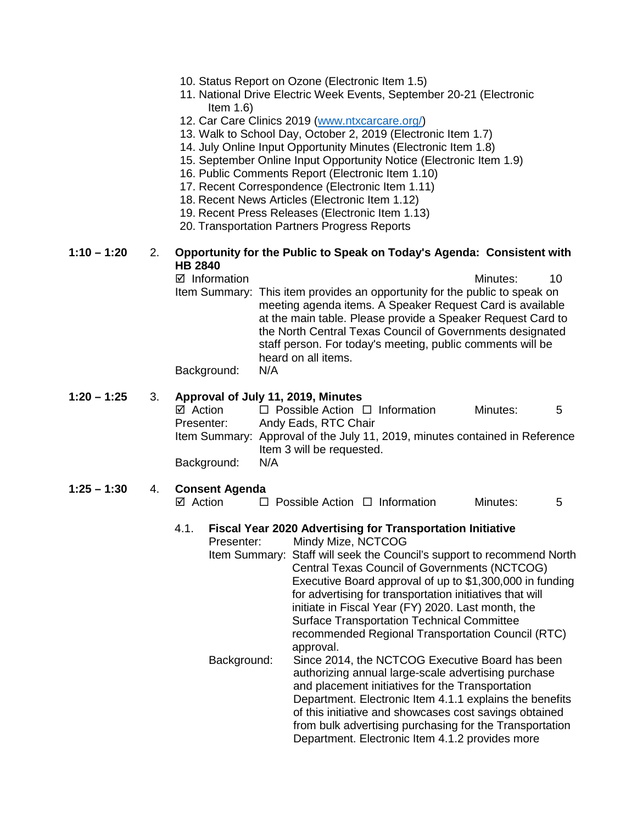| 10. Status Report on Ozone (Electronic Item 1.5) |  |
|--------------------------------------------------|--|
|--------------------------------------------------|--|

- 11. National Drive Electric Week Events, September 20-21 (Electronic Item 1.6)
- 12. Car Care Clinics 2019 [\(www.ntxcarcare.org/\)](http://www.ntxcarcare.org/)
- 13. Walk to School Day, October 2, 2019 (Electronic Item 1.7)
- 14. July Online Input Opportunity Minutes (Electronic Item 1.8)
- 15. September Online Input Opportunity Notice (Electronic Item 1.9)
- 16. Public Comments Report (Electronic Item 1.10)
- 17. Recent Correspondence (Electronic Item 1.11)
- 18. Recent News Articles (Electronic Item 1.12)
- 19. Recent Press Releases (Electronic Item 1.13)
- 20. Transportation Partners Progress Reports

## **1:10 – 1:20** 2. **Opportunity for the Public to Speak on Today's Agenda: Consistent with HB 2840**

 $\boxtimes$  Information and a set of the matrice of the Minutes: 40 Item Summary: This item provides an opportunity for the public to speak on meeting agenda items. A Speaker Request Card is available at the main table. Please provide a Speaker Request Card to the North Central Texas Council of Governments designated staff person. For today's meeting, public comments will be heard on all items.

Background: N/A

# **1:20 – 1:25** 3. **Approval of July 11, 2019, Minutes**

|             | $\sim$ . The fact of $\sim$ . The state $\sim$ . The state of $\sim$ . The state of $\sim$ |          |   |
|-------------|--------------------------------------------------------------------------------------------|----------|---|
| ⊠ Action    | $\Box$ Possible Action $\Box$ Information                                                  | Minutes: | 5 |
| Presenter:  | Andy Eads, RTC Chair                                                                       |          |   |
|             | Item Summary: Approval of the July 11, 2019, minutes contained in Reference                |          |   |
|             | Item 3 will be requested.                                                                  |          |   |
| Background: | N/A                                                                                        |          |   |

## **1:25 – 1:30** 4. **Consent Agenda**

 $\boxtimes$  Action  $\Box$  Possible Action  $\Box$  Information Minutes: 5

# 4.1. **Fiscal Year 2020 Advertising for Transportation Initiative**

Presenter: Mindy Mize, NCTCOG Item Summary: Staff will seek the Council's support to recommend North Central Texas Council of Governments (NCTCOG) Executive Board approval of up to \$1,300,000 in funding for advertising for transportation initiatives that will initiate in Fiscal Year (FY) 2020. Last month, the Surface Transportation Technical Committee recommended Regional Transportation Council (RTC) approval. Background: Since 2014, the NCTCOG Executive Board has been authorizing annual large-scale advertising purchase and placement initiatives for the Transportation Department. Electronic Item 4.1.1 explains the benefits of this initiative and showcases cost savings obtained

> from bulk advertising purchasing for the Transportation Department. Electronic Item 4.1.2 provides more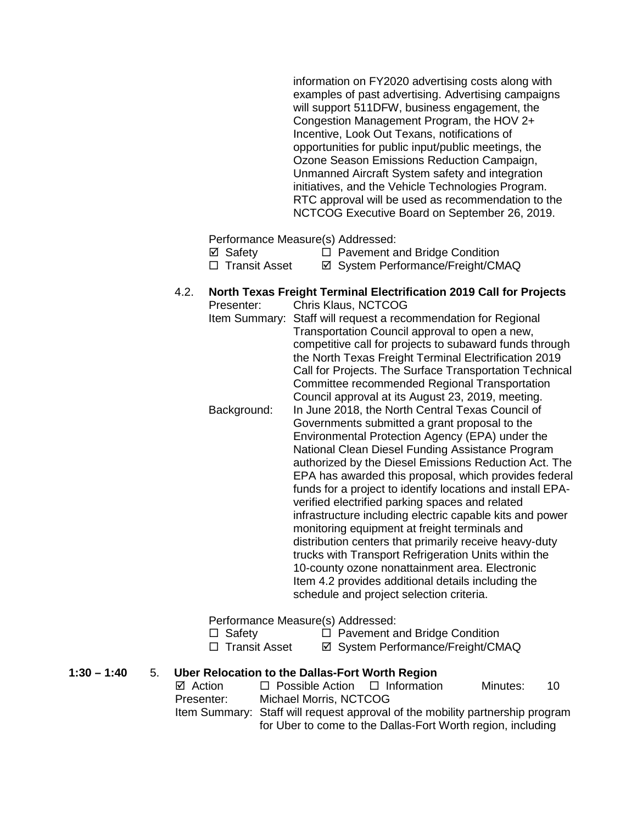information on FY2020 advertising costs along with examples of past advertising. Advertising campaigns will support 511DFW, business engagement, the Congestion Management Program, the HOV 2+ Incentive, Look Out Texans, notifications of opportunities for public input/public meetings, the Ozone Season Emissions Reduction Campaign, Unmanned Aircraft System safety and integration initiatives, and the Vehicle Technologies Program. RTC approval will be used as recommendation to the NCTCOG Executive Board on September 26, 2019.

Performance Measure(s) Addressed:

- $\boxtimes$  Safety  $\Box$  Pavement and Bridge Condition
- □ Transit Asset <br>  $\Box$  Transit Asset <br>  $\Box$  System Performance/Freight/CMAQ

#### 4.2. **North Texas Freight Terminal Electrification 2019 Call for Projects** Chris Klaus, NCTCOG

| . וטטטוועו    | <u>UHIIS INAUS, TVUTUUU</u>                                |
|---------------|------------------------------------------------------------|
| Item Summary: | Staff will request a recommendation for Regional           |
|               | Transportation Council approval to open a new,             |
|               | competitive call for projects to subaward funds through    |
|               | the North Texas Freight Terminal Electrification 2019      |
|               | Call for Projects. The Surface Transportation Technical    |
|               | Committee recommended Regional Transportation              |
|               | Council approval at its August 23, 2019, meeting.          |
| Background:   | In June 2018, the North Central Texas Council of           |
|               | Governments submitted a grant proposal to the              |
|               | Environmental Protection Agency (EPA) under the            |
|               | National Clean Diesel Funding Assistance Program           |
|               | authorized by the Diesel Emissions Reduction Act. The      |
|               | EPA has awarded this proposal, which provides federal      |
|               | funds for a project to identify locations and install EPA- |
|               | verified electrified parking spaces and related            |
|               | infrastructure including electric capable kits and power   |
|               |                                                            |
|               | monitoring equipment at freight terminals and              |
|               | distribution centers that primarily receive heavy-duty     |
|               | trucks with Transport Refrigeration Units within the       |
|               | 10-county ozone nonattainment area. Electronic             |
|               | Item 4.2 provides additional details including the         |
|               | schedule and project selection criteria.                   |
|               |                                                            |

Performance Measure(s) Addressed:

□ Safety □ Pavement and Bridge Condition<br>□ Transit Asset □ System Performance/Freight/CM **Ø System Performance/Freight/CMAQ** 

**1:30 – 1:40** 5. **Uber Relocation to the Dallas-Fort Worth Region**

| $\boxtimes$ Action | $\Box$ Possible Action $\Box$ Information                                     | Minutes: | 10 |
|--------------------|-------------------------------------------------------------------------------|----------|----|
| Presenter:         | Michael Morris, NCTCOG                                                        |          |    |
|                    | Item Summary: Staff will request approval of the mobility partnership program |          |    |
|                    | for Uber to come to the Dallas-Fort Worth region, including                   |          |    |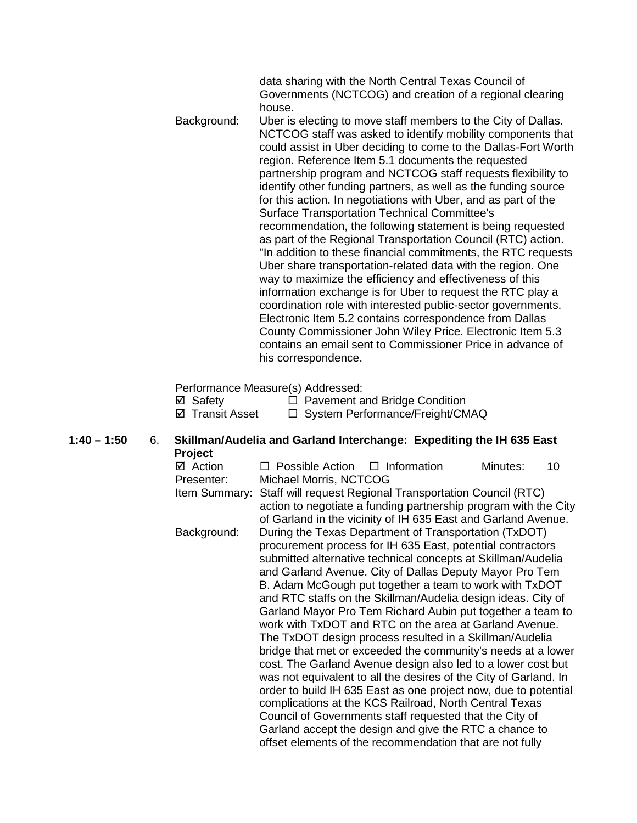data sharing with the North Central Texas Council of Governments (NCTCOG) and creation of a regional clearing house.

Background: Uber is electing to move staff members to the City of Dallas. NCTCOG staff was asked to identify mobility components that could assist in Uber deciding to come to the Dallas-Fort Worth region. Reference Item 5.1 documents the requested partnership program and NCTCOG staff requests flexibility to identify other funding partners, as well as the funding source for this action. In negotiations with Uber, and as part of the Surface Transportation Technical Committee's recommendation, the following statement is being requested as part of the Regional Transportation Council (RTC) action. "In addition to these financial commitments, the RTC requests Uber share transportation-related data with the region. One way to maximize the efficiency and effectiveness of this information exchange is for Uber to request the RTC play a coordination role with interested public-sector governments. Electronic Item 5.2 contains correspondence from Dallas County Commissioner John Wiley Price. Electronic Item 5.3 contains an email sent to Commissioner Price in advance of his correspondence.

Performance Measure(s) Addressed:

| ⊠ Safety               | $\Box$ Pavement and Bridge Condition |
|------------------------|--------------------------------------|
| <b>Ø</b> Transit Asset | □ System Performance/Freight/CMAQ    |

**1:40 – 1:50** 6. **Skillman/Audelia and Garland Interchange: Expediting the IH 635 East Project**

| ⊠ Action      | $\Box$ Possible Action $\Box$ Information |                                                                  | Minutes: | 10 |
|---------------|-------------------------------------------|------------------------------------------------------------------|----------|----|
| Presenter:    | Michael Morris, NCTCOG                    |                                                                  |          |    |
| Item Summary: |                                           | Staff will request Regional Transportation Council (RTC)         |          |    |
|               |                                           | action to negotiate a funding partnership program with the City  |          |    |
|               |                                           | of Garland in the vicinity of IH 635 East and Garland Avenue.    |          |    |
| Background:   |                                           | During the Texas Department of Transportation (TxDOT)            |          |    |
|               |                                           | procurement process for IH 635 East, potential contractors       |          |    |
|               |                                           | submitted alternative technical concepts at Skillman/Audelia     |          |    |
|               |                                           | and Garland Avenue. City of Dallas Deputy Mayor Pro Tem          |          |    |
|               |                                           | B. Adam McGough put together a team to work with TxDOT           |          |    |
|               |                                           | and RTC staffs on the Skillman/Audelia design ideas. City of     |          |    |
|               |                                           | Garland Mayor Pro Tem Richard Aubin put together a team to       |          |    |
|               |                                           | work with TxDOT and RTC on the area at Garland Avenue.           |          |    |
|               |                                           | The TxDOT design process resulted in a Skillman/Audelia          |          |    |
|               |                                           | bridge that met or exceeded the community's needs at a lower     |          |    |
|               |                                           | cost. The Garland Avenue design also led to a lower cost but     |          |    |
|               |                                           | was not equivalent to all the desires of the City of Garland. In |          |    |
|               |                                           | order to build IH 635 East as one project now, due to potential  |          |    |
|               |                                           | complications at the KCS Railroad, North Central Texas           |          |    |
|               |                                           | Council of Governments staff requested that the City of          |          |    |
|               |                                           | Garland accept the design and give the RTC a chance to           |          |    |
|               |                                           | offset elements of the recommendation that are not fully         |          |    |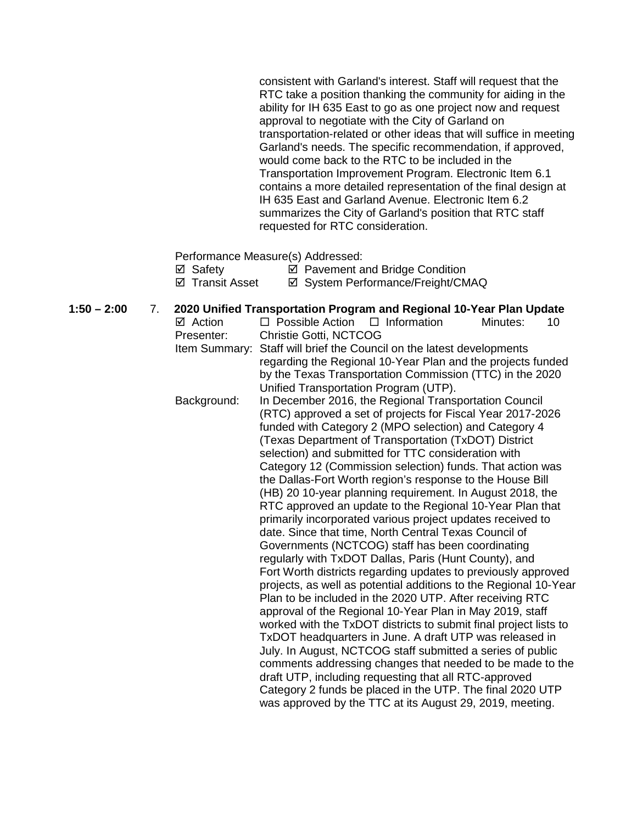consistent with Garland's interest. Staff will request that the RTC take a position thanking the community for aiding in the ability for IH 635 East to go as one project now and request approval to negotiate with the City of Garland on transportation-related or other ideas that will suffice in meeting Garland's needs. The specific recommendation, if approved, would come back to the RTC to be included in the Transportation Improvement Program. Electronic Item 6.1 contains a more detailed representation of the final design at IH 635 East and Garland Avenue. Electronic Item 6.2 summarizes the City of Garland's position that RTC staff requested for RTC consideration.

Performance Measure(s) Addressed:

 $\boxtimes$  Safety  $\boxtimes$  Pavement and Bridge Condition

 $\boxtimes$  **Transit Asset**  $\boxtimes$  System Performance/Freight/CMAQ

**1:50 – 2:00** 7. **2020 Unified Transportation Program and Regional 10-Year Plan Update**  $\boxtimes$  Action  $\Box$  Possible Action  $\Box$  Information Minutes: 10 Presenter: Christie Gotti, NCTCOG Item Summary: Staff will brief the Council on the latest developments regarding the Regional 10-Year Plan and the projects funded by the Texas Transportation Commission (TTC) in the 2020 Unified Transportation Program (UTP). Background: In December 2016, the Regional Transportation Council (RTC) approved a set of projects for Fiscal Year 2017-2026 funded with Category 2 (MPO selection) and Category 4 (Texas Department of Transportation (TxDOT) District selection) and submitted for TTC consideration with Category 12 (Commission selection) funds. That action was the Dallas-Fort Worth region's response to the House Bill (HB) 20 10-year planning requirement. In August 2018, the RTC approved an update to the Regional 10-Year Plan that primarily incorporated various project updates received to date. Since that time, North Central Texas Council of Governments (NCTCOG) staff has been coordinating regularly with TxDOT Dallas, Paris (Hunt County), and Fort Worth districts regarding updates to previously approved projects, as well as potential additions to the Regional 10-Year Plan to be included in the 2020 UTP. After receiving RTC approval of the Regional 10-Year Plan in May 2019, staff worked with the TxDOT districts to submit final project lists to TxDOT headquarters in June. A draft UTP was released in July. In August, NCTCOG staff submitted a series of public comments addressing changes that needed to be made to the draft UTP, including requesting that all RTC-approved Category 2 funds be placed in the UTP. The final 2020 UTP was approved by the TTC at its August 29, 2019, meeting.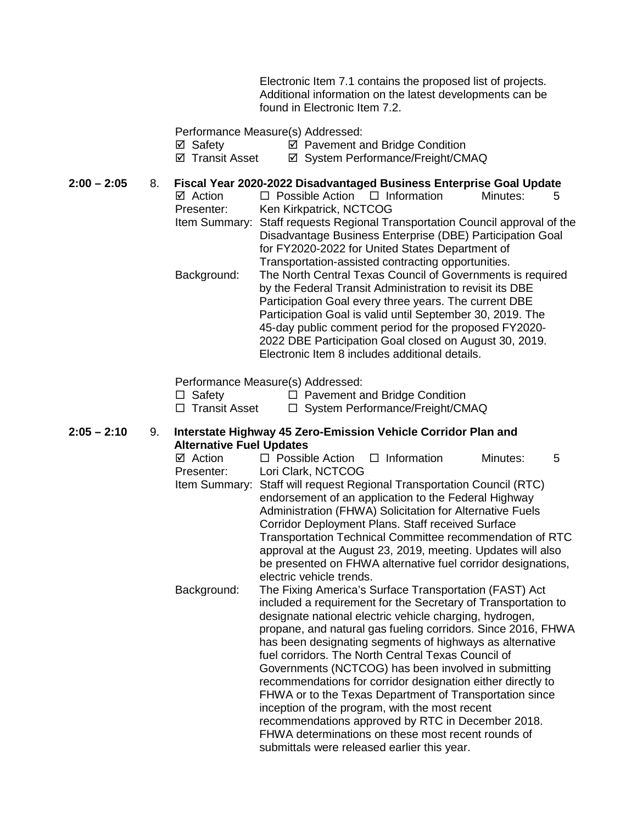Electronic Item 7.1 contains the proposed list of projects. Additional information on the latest developments can be found in Electronic Item 7.2.

Performance Measure(s) Addressed:

- **Ø** Safety **Ø** Pavement and Bridge Condition
- ⊠ Transit Asset **and System Performance/Freight/CMAQ**

# **2:00 – 2:05** 8. **Fiscal Year 2020-2022 Disadvantaged Business Enterprise Goal Update**

 $\Box$  Possible Action  $\Box$  Information Minutes: 5 Presenter: Ken Kirkpatrick, NCTCOG Item Summary: Staff requests Regional Transportation Council approval of the Disadvantage Business Enterprise (DBE) Participation Goal for FY2020-2022 for United States Department of Transportation-assisted contracting opportunities. Background: The North Central Texas Council of Governments is required by the Federal Transit Administration to revisit its DBE Participation Goal every three years. The current DBE Participation Goal is valid until September 30, 2019. The

45-day public comment period for the proposed FY2020- 2022 DBE Participation Goal closed on August 30, 2019. Electronic Item 8 includes additional details.

Performance Measure(s) Addressed:

 $\Box$  Safety  $\Box$  Pavement and Bridge Condition

 $\Box$  Transit Asset  $\Box$  System Performance/Freight/CMAQ

**2:05 – 2:10** 9. **Interstate Highway 45 Zero-Emission Vehicle Corridor Plan and Alternative Fuel Updates**

| ⊠ Action    | $\Box$ Possible Action $\Box$ Information                                                                                                                                                                                                                                                                                                                                                                                                                                                                                                                                                                                                                                                                                                                          |  | Minutes: | 5 |
|-------------|--------------------------------------------------------------------------------------------------------------------------------------------------------------------------------------------------------------------------------------------------------------------------------------------------------------------------------------------------------------------------------------------------------------------------------------------------------------------------------------------------------------------------------------------------------------------------------------------------------------------------------------------------------------------------------------------------------------------------------------------------------------------|--|----------|---|
| Presenter:  | Lori Clark, NCTCOG                                                                                                                                                                                                                                                                                                                                                                                                                                                                                                                                                                                                                                                                                                                                                 |  |          |   |
|             | Item Summary: Staff will request Regional Transportation Council (RTC)<br>endorsement of an application to the Federal Highway<br>Administration (FHWA) Solicitation for Alternative Fuels<br>Corridor Deployment Plans. Staff received Surface<br>Transportation Technical Committee recommendation of RTC<br>approval at the August 23, 2019, meeting. Updates will also<br>be presented on FHWA alternative fuel corridor designations,                                                                                                                                                                                                                                                                                                                         |  |          |   |
|             | electric vehicle trends.                                                                                                                                                                                                                                                                                                                                                                                                                                                                                                                                                                                                                                                                                                                                           |  |          |   |
| Background: | The Fixing America's Surface Transportation (FAST) Act<br>included a requirement for the Secretary of Transportation to<br>designate national electric vehicle charging, hydrogen,<br>propane, and natural gas fueling corridors. Since 2016, FHWA<br>has been designating segments of highways as alternative<br>fuel corridors. The North Central Texas Council of<br>Governments (NCTCOG) has been involved in submitting<br>recommendations for corridor designation either directly to<br>FHWA or to the Texas Department of Transportation since<br>inception of the program, with the most recent<br>recommendations approved by RTC in December 2018.<br>FHWA determinations on these most recent rounds of<br>submittals were released earlier this year. |  |          |   |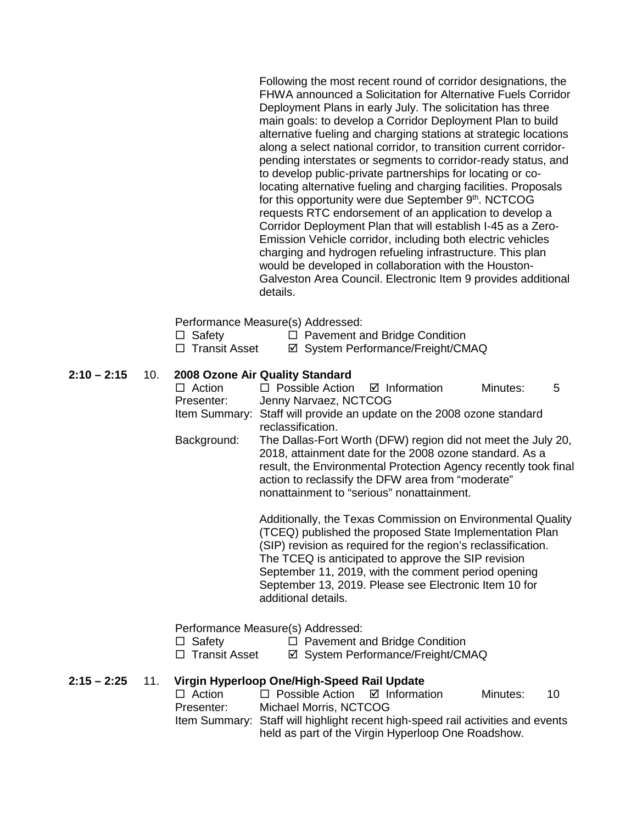Following the most recent round of corridor designations, the FHWA announced a Solicitation for Alternative Fuels Corridor Deployment Plans in early July. The solicitation has three main goals: to develop a Corridor Deployment Plan to build alternative fueling and charging stations at strategic locations along a select national corridor, to transition current corridorpending interstates or segments to corridor-ready status, and to develop public-private partnerships for locating or colocating alternative fueling and charging facilities. Proposals for this opportunity were due September 9th. NCTCOG requests RTC endorsement of an application to develop a Corridor Deployment Plan that will establish I-45 as a Zero-Emission Vehicle corridor, including both electric vehicles charging and hydrogen refueling infrastructure. This plan would be developed in collaboration with the Houston-Galveston Area Council. Electronic Item 9 provides additional details.

Performance Measure(s) Addressed:

- $\Box$  Safety  $\Box$  Pavement and Bridge Condition
- □ Transit Asset <br>  $\Box$  Transit Asset <br>  $\Box$  System Performance/Freight/CMAQ

## **2:10 – 2:15** 10. **2008 Ozone Air Quality Standard**

| $\Box$ Action | $\Box$ Possible Action $\Box$ Information |                                                                                                         | Minutes: | -5 |
|---------------|-------------------------------------------|---------------------------------------------------------------------------------------------------------|----------|----|
| Presenter:    | Jenny Narvaez, NCTCOG                     |                                                                                                         |          |    |
|               |                                           | Item Summary: Staff will provide an update on the 2008 ozone standard                                   |          |    |
|               | reclassification.                         |                                                                                                         |          |    |
| Background:   |                                           | The Dallas-Fort Worth (DFW) region did not meet the July 20,                                            |          |    |
|               |                                           | 2018, attainment date for the 2008 ozone standard. As a                                                 |          |    |
|               |                                           | $\alpha$ and the contract of the contract $\alpha$ . A sequence of the contract of $\alpha$ at $\alpha$ |          |    |

result, the Environmental Protection Agency recently took final action to reclassify the DFW area from "moderate" nonattainment to "serious" nonattainment.

> Additionally, the Texas Commission on Environmental Quality (TCEQ) published the proposed State Implementation Plan (SIP) revision as required for the region's reclassification. The TCEQ is anticipated to approve the SIP revision September 11, 2019, with the comment period opening September 13, 2019. Please see Electronic Item 10 for additional details.

Performance Measure(s) Addressed:

| $\Box$ Safety                                                                                                                                                                                                                                                                                                                                                                                                                                                                              | $\Box$ Pavement and Bridge Condition |
|--------------------------------------------------------------------------------------------------------------------------------------------------------------------------------------------------------------------------------------------------------------------------------------------------------------------------------------------------------------------------------------------------------------------------------------------------------------------------------------------|--------------------------------------|
| $\blacksquare$ $\blacksquare$ $\blacksquare$ $\blacksquare$ $\blacksquare$ $\blacksquare$ $\blacksquare$ $\blacksquare$ $\blacksquare$ $\blacksquare$ $\blacksquare$ $\blacksquare$ $\blacksquare$ $\blacksquare$ $\blacksquare$ $\blacksquare$ $\blacksquare$ $\blacksquare$ $\blacksquare$ $\blacksquare$ $\blacksquare$ $\blacksquare$ $\blacksquare$ $\blacksquare$ $\blacksquare$ $\blacksquare$ $\blacksquare$ $\blacksquare$ $\blacksquare$ $\blacksquare$ $\blacksquare$ $\blacks$ |                                      |

□ Transit Asset  $\boxdot$  System Performance/Freight/CMAQ

## **2:15 – 2:25** 11. **Virgin Hyperloop One/High-Speed Rail Update**

| $\Box$ Action | $\Box$ Possible Action $\Box$ Information                                       | Minutes: | -10 |
|---------------|---------------------------------------------------------------------------------|----------|-----|
| Presenter:    | Michael Morris, NCTCOG                                                          |          |     |
|               | Item Summary: Staff will highlight recent high-speed rail activities and events |          |     |
|               | held as part of the Virgin Hyperloop One Roadshow.                              |          |     |